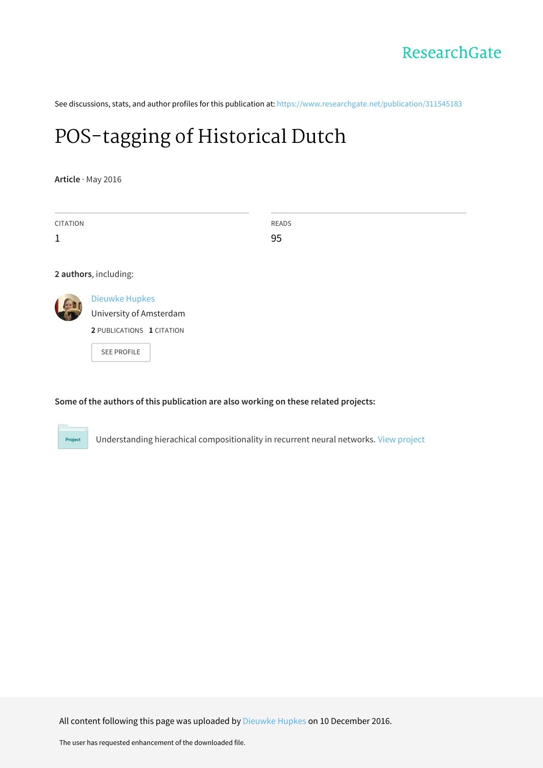See discussions, stats, and author profiles for this publication at: [https://www.researchgate.net/publication/311545183](https://www.researchgate.net/publication/311545183_POS-tagging_of_Historical_Dutch?enrichId=rgreq-6fc8c855502983acf563e8a595148919-XXX&enrichSource=Y292ZXJQYWdlOzMxMTU0NTE4MztBUzo0Mzc2OTY5MzkyMDQ2MDlAMTQ4MTM2NjQ5MDkxMw%3D%3D&el=1_x_2&_esc=publicationCoverPdf)

# [POS-tagging](https://www.researchgate.net/publication/311545183_POS-tagging_of_Historical_Dutch?enrichId=rgreq-6fc8c855502983acf563e8a595148919-XXX&enrichSource=Y292ZXJQYWdlOzMxMTU0NTE4MztBUzo0Mzc2OTY5MzkyMDQ2MDlAMTQ4MTM2NjQ5MDkxMw%3D%3D&el=1_x_3&_esc=publicationCoverPdf) of Historical Dutch

**Article** · May 2016

Project

| <b>CITATION</b> |                                                                                                     | <b>READS</b> |
|-----------------|-----------------------------------------------------------------------------------------------------|--------------|
| $\mathbf{1}$    |                                                                                                     | 95           |
|                 |                                                                                                     |              |
|                 | 2 authors, including:                                                                               |              |
|                 | <b>Dieuwke Hupkes</b><br>University of Amsterdam<br>2 PUBLICATIONS 1 CITATION<br><b>SEE PROFILE</b> |              |

**Some of the authors of this publication are also working on these related projects:**

Understanding hierachical compositionality in recurrent neural networks. View [project](https://www.researchgate.net/project/Understanding-hierachical-compositionality-in-recurrent-neural-networks?enrichId=rgreq-6fc8c855502983acf563e8a595148919-XXX&enrichSource=Y292ZXJQYWdlOzMxMTU0NTE4MztBUzo0Mzc2OTY5MzkyMDQ2MDlAMTQ4MTM2NjQ5MDkxMw%3D%3D&el=1_x_9&_esc=publicationCoverPdf)

All content following this page was uploaded by [Dieuwke](https://www.researchgate.net/profile/Dieuwke_Hupkes?enrichId=rgreq-6fc8c855502983acf563e8a595148919-XXX&enrichSource=Y292ZXJQYWdlOzMxMTU0NTE4MztBUzo0Mzc2OTY5MzkyMDQ2MDlAMTQ4MTM2NjQ5MDkxMw%3D%3D&el=1_x_10&_esc=publicationCoverPdf) Hupkes on 10 December 2016.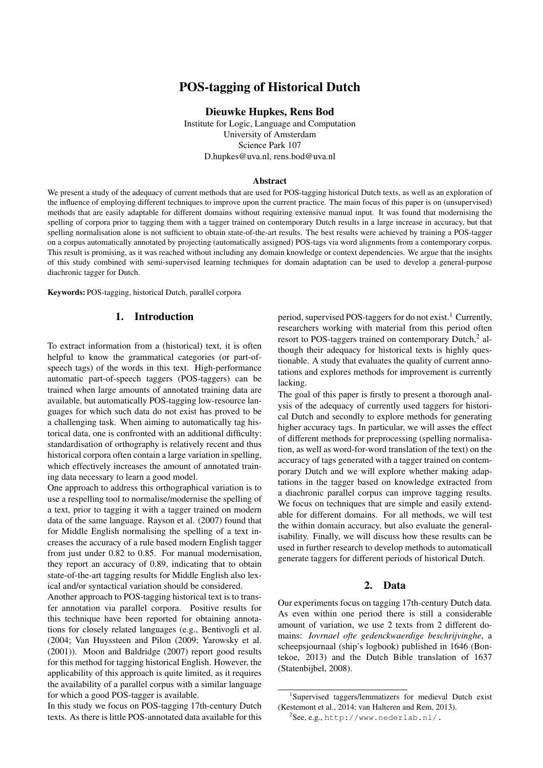## POS-tagging of Historical Dutch

Dieuwke Hupkes, Rens Bod

Institute for Logic, Language and Computation University of Amsterdam Science Park 107 D.hupkes@uva.nl, rens.bod@uva.nl

#### Abstract

We present a study of the adequacy of current methods that are used for POS-tagging historical Dutch texts, as well as an exploration of the influence of employing different techniques to improve upon the current practice. The main focus of this paper is on (unsupervised) methods that are easily adaptable for different domains without requiring extensive manual input. It was found that modernising the spelling of corpora prior to tagging them with a tagger trained on contemporary Dutch results in a large increase in accuracy, but that spelling normalisation alone is not sufficient to obtain state-of-the-art results. The best results were achieved by training a POS-tagger on a corpus automatically annotated by projecting (automatically assigned) POS-tags via word alignments from a contemporary corpus. This result is promising, as it was reached without including any domain knowledge or context dependencies. We argue that the insights of this study combined with semi-supervised learning techniques for domain adaptation can be used to develop a general-purpose diachronic tagger for Dutch.

Keywords: POS-tagging, historical Dutch, parallel corpora

## 1. Introduction

To extract information from a (historical) text, it is often helpful to know the grammatical categories (or part-ofspeech tags) of the words in this text. High-performance automatic part-of-speech taggers (POS-taggers) can be trained when large amounts of annotated training data are available, but automatically POS-tagging low-resource languages for which such data do not exist has proved to be a challenging task. When aiming to automatically tag historical data, one is confronted with an additional difficulty: standardisation of orthography is relatively recent and thus historical corpora often contain a large variation in spelling, which effectively increases the amount of annotated training data necessary to learn a good model.

One approach to address this orthographical variation is to use a respelling tool to normalise/modernise the spelling of a text, prior to tagging it with a tagger trained on modern data of the same language. [Rayson et al. \(2007\)](#page-5-0) found that for Middle English normalising the spelling of a text increases the accuracy of a rule based modern English tagger from just under 0.82 to 0.85. For manual modernisation, they report an accuracy of 0.89, indicating that to obtain state-of-the-art tagging results for Middle English also lexical and/or syntactical variation should be considered.

Another approach to POS-tagging historical text is to transfer annotation via parallel corpora. Positive results for this technique have been reported for obtaining annotations for closely related languages (e.g., [Bentivogli et al.](#page-5-1) [\(2004;](#page-5-1) [Van Huyssteen and Pilon \(2009;](#page-5-2) [Yarowsky et al.](#page-6-0) [\(2001\)](#page-6-0)). [Moon and Baldridge \(2007\)](#page-5-3) report good results for this method for tagging historical English. However, the applicability of this approach is quite limited, as it requires the availability of a parallel corpus with a similar language for which a good POS-tagger is available.

In this study we focus on POS-tagging 17th-century Dutch texts. As there is little POS-annotated data available for this period, supervised POS-taggers for do not exist.<sup>[1](#page-1-0)</sup> Currently, researchers working with material from this period often resort to POS-taggers trained on contemporary Dutch,<sup>[2](#page-1-1)</sup> although their adequacy for historical texts is highly questionable. A study that evaluates the quality of current annotations and explores methods for improvement is currently lacking.

The goal of this paper is firstly to present a thorough analysis of the adequacy of currently used taggers for historical Dutch and secondly to explore methods for generating higher accuracy tags. In particular, we will asses the effect of different methods for preprocessing (spelling normalisation, as well as word-for-word translation of the text) on the accuracy of tags generated with a tagger trained on contemporary Dutch and we will explore whether making adaptations in the tagger based on knowledge extracted from a diachronic parallel corpus can improve tagging results. We focus on techniques that are simple and easily extendable for different domains. For all methods, we will test the within domain accuracy, but also evaluate the generalisability. Finally, we will discuss how these results can be used in further research to develop methods to automaticall generate taggers for different periods of historical Dutch.

#### 2. Data

Our experiments focus on tagging 17th-century Dutch data. As even within one period there is still a considerable amount of variation, we use 2 texts from 2 different domains: *Iovrnael ofte gedenckwaerdige beschrijvinghe*, a scheepsjournaal (ship's logbook) published in 1646 (Bontekoe, 2013) and the Dutch Bible translation of 1637 (Statenbijbel, 2008).

<span id="page-1-0"></span><sup>1</sup> Supervised taggers/lemmatizers for medieval Dutch exist [\(Kestemont et al., 2014;](#page-5-4) [van Halteren and Rem, 2013\)](#page-5-5).

<span id="page-1-1"></span> $^{2}$ See, e.g., <http://www.nederlab.nl/.>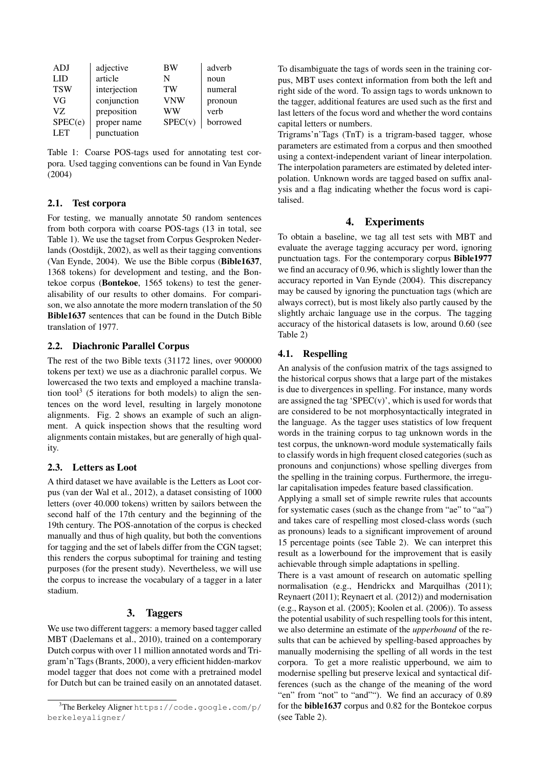| ADJ        | adjective    | ВW        | adverb   |
|------------|--------------|-----------|----------|
| LID        | article      | N         | noun     |
| <b>TSW</b> | interjection | <b>TW</b> | numeral  |
| VG         | conjunction  | VNW       | pronoun  |
| VZ.        | preposition  | WW        | verb     |
| SPEC(e)    | proper name  | SPEC(v)   | borrowed |
| <b>LET</b> | punctuation  |           |          |

<span id="page-2-0"></span>Table 1: Coarse POS-tags used for annotating test corpora. Used tagging conventions can be found in [Van Eynde](#page-5-6) [\(2004\)](#page-5-6)

### 2.1. Test corpora

For testing, we manually annotate 50 random sentences from both corpora with coarse POS-tags (13 in total, see Table [1\)](#page-2-0). We use the tagset from Corpus Gesproken Nederlands [\(Oostdijk, 2002\)](#page-5-7), as well as their tagging conventions [\(Van Eynde, 2004\)](#page-5-6). We use the Bible corpus (Bible1637, 1368 tokens) for development and testing, and the Bontekoe corpus (Bontekoe, 1565 tokens) to test the generalisability of our results to other domains. For comparison, we also annotate the more modern translation of the 50 Bible1637 sentences that can be found in the Dutch Bible translation of 1977.

## 2.2. Diachronic Parallel Corpus

The rest of the two Bible texts (31172 lines, over 900000 tokens per text) we use as a diachronic parallel corpus. We lowercased the two texts and employed a machine transla-tion tool<sup>[3](#page-2-1)</sup> (5 iterations for both models) to align the sentences on the word level, resulting in largely monotone alignments. Fig. [2](#page-3-0) shows an example of such an alignment. A quick inspection shows that the resulting word alignments contain mistakes, but are generally of high quality.

#### 2.3. Letters as Loot

A third dataset we have available is the Letters as Loot corpus [\(van der Wal et al., 2012\)](#page-5-8), a dataset consisting of 1000 letters (over 40.000 tokens) written by sailors between the second half of the 17th century and the beginning of the 19th century. The POS-annotation of the corpus is checked manually and thus of high quality, but both the conventions for tagging and the set of labels differ from the CGN tagset; this renders the corpus suboptimal for training and testing purposes (for the present study). Nevertheless, we will use the corpus to increase the vocabulary of a tagger in a later stadium.

## 3. Taggers

We use two different taggers: a memory based tagger called MBT [\(Daelemans et al., 2010\)](#page-5-9), trained on a contemporary Dutch corpus with over 11 million annotated words and Trigram'n'Tags [\(Brants, 2000\)](#page-5-10), a very efficient hidden-markov model tagger that does not come with a pretrained model for Dutch but can be trained easily on an annotated dataset.

To disambiguate the tags of words seen in the training corpus, MBT uses context information from both the left and right side of the word. To assign tags to words unknown to the tagger, additional features are used such as the first and last letters of the focus word and whether the word contains capital letters or numbers.

Trigrams'n'Tags (TnT) is a trigram-based tagger, whose parameters are estimated from a corpus and then smoothed using a context-independent variant of linear interpolation. The interpolation parameters are estimated by deleted interpolation. Unknown words are tagged based on suffix analysis and a flag indicating whether the focus word is capitalised.

## 4. Experiments

To obtain a baseline, we tag all test sets with MBT and evaluate the average tagging accuracy per word, ignoring punctuation tags. For the contemporary corpus Bible1977 we find an accuracy of 0.96, which is slightly lower than the accuracy reported in [Van Eynde \(2004\)](#page-5-6). This discrepancy may be caused by ignoring the punctuation tags (which are always correct), but is most likely also partly caused by the slightly archaic language use in the corpus. The tagging accuracy of the historical datasets is low, around 0.60 (see Table [2\)](#page-3-1)

## 4.1. Respelling

An analysis of the confusion matrix of the tags assigned to the historical corpus shows that a large part of the mistakes is due to divergences in spelling. For instance, many words are assigned the tag 'SPEC $(v)$ ', which is used for words that are considered to be not morphosyntactically integrated in the language. As the tagger uses statistics of low frequent words in the training corpus to tag unknown words in the test corpus, the unknown-word module systematically fails to classify words in high frequent closed categories (such as pronouns and conjunctions) whose spelling diverges from the spelling in the training corpus. Furthermore, the irregular capitalisation impedes feature based classification.

Applying a small set of simple rewrite rules that accounts for systematic cases (such as the change from "ae" to "aa") and takes care of respelling most closed-class words (such as pronouns) leads to a significant improvement of around 15 percentage points (see Table [2\)](#page-3-1). We can interpret this result as a lowerbound for the improvement that is easily achievable through simple adaptations in spelling.

There is a vast amount of research on automatic spelling normalisation (e.g., [Hendrickx and Marquilhas \(2011\)](#page-5-11); [Reynaert \(2011\)](#page-5-12); [Reynaert et al. \(2012\)](#page-5-13)) and modernisation (e.g., [Rayson et al. \(2005\)](#page-5-14); [Koolen et al. \(2006\)](#page-5-15)). To assess the potential usability of such respelling tools for this intent, we also determine an estimate of the *upperbound* of the results that can be achieved by spelling-based approaches by manually modernising the spelling of all words in the test corpora. To get a more realistic upperbound, we aim to modernise spelling but preserve lexical and syntactical differences (such as the change of the meaning of the word "en" from "not" to "and""). We find an accuracy of 0.89 for the bible1637 corpus and 0.82 for the Bontekoe corpus (see Table [2\)](#page-3-1).

<span id="page-2-1"></span><sup>3</sup>The Berkeley Aligner [https://code.google.com/p/](https://code.google.com/p/berkeleyaligner/) [berkeleyaligner/](https://code.google.com/p/berkeleyaligner/)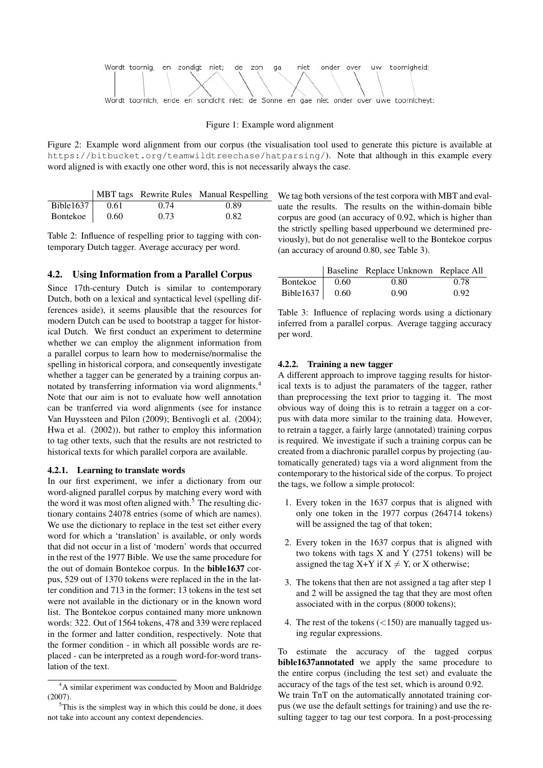

#### Figure 1: Example word alignment

<span id="page-3-0"></span>Figure 2: Example word alignment from our corpus (the visualisation tool used to generate this picture is available at <https://bitbucket.org/teamwildtreechase/hatparsing/>). Note that although in this example every word aligned is with exactly one other word, this is not necessarily always the case.

|                   |      |      | MBT tags Rewrite Rules Manual Respelling |
|-------------------|------|------|------------------------------------------|
| Bible1637 $\vert$ | 0.61 | 0.74 | 0.89                                     |
| Bontekoe          | 0.60 | 0.73 | 0.82                                     |

<span id="page-3-1"></span>Table 2: Influence of respelling prior to tagging with contemporary Dutch tagger. Average accuracy per word.

### 4.2. Using Information from a Parallel Corpus

Since 17th-century Dutch is similar to contemporary Dutch, both on a lexical and syntactical level (spelling differences aside), it seems plausible that the resources for modern Dutch can be used to bootstrap a tagger for historical Dutch. We first conduct an experiment to determine whether we can employ the alignment information from a parallel corpus to learn how to modernise/normalise the spelling in historical corpora, and consequently investigate whether a tagger can be generated by a training corpus annotated by transferring information via word alignments.[4](#page-3-2) Note that our aim is not to evaluate how well annotation can be tranferred via word alignments (see for instance [Van Huyssteen and Pilon \(2009\)](#page-5-2); [Bentivogli et al. \(2004\)](#page-5-1); [Hwa et al. \(2002\)](#page-5-16)), but rather to employ this information to tag other texts, such that the results are not restricted to historical texts for which parallel corpora are available.

#### 4.2.1. Learning to translate words

In our first experiment, we infer a dictionary from our word-aligned parallel corpus by matching every word with the word it was most often aligned with. $5$  The resulting dictionary contains 24078 entries (some of which are names). We use the dictionary to replace in the test set either every word for which a 'translation' is available, or only words that did not occur in a list of 'modern' words that occurred in the rest of the 1977 Bible. We use the same procedure for the out of domain Bontekoe corpus. In the bible1637 corpus, 529 out of 1370 tokens were replaced in the in the latter condition and 713 in the former; 13 tokens in the test set were not available in the dictionary or in the known word list. The Bontekoe corpus contained many more unknown words: 322. Out of 1564 tokens, 478 and 339 were replaced in the former and latter condition, respectively. Note that the former condition - in which all possible words are replaced - can be interpreted as a rough word-for-word translation of the text.

We tag both versions of the test corpora with MBT and evaluate the results. The results on the within-domain bible corpus are good (an accuracy of 0.92, which is higher than the strictly spelling based upperbound we determined previously), but do not generalise well to the Bontekoe corpus (an accuracy of around 0.80, see Table [3\)](#page-3-4).

|                        |      | Baseline Replace Unknown Replace All |      |
|------------------------|------|--------------------------------------|------|
| Bontekoe               | 0.60 | 0.80                                 | 0.78 |
| Bible1637 $\vert$ 0.60 |      | 0.90                                 | 0.92 |

<span id="page-3-4"></span>Table 3: Influence of replacing words using a dictionary inferred from a parallel corpus. Average tagging accuracy per word.

#### 4.2.2. Training a new tagger

A different approach to improve tagging results for historical texts is to adjust the paramaters of the tagger, rather than preprocessing the text prior to tagging it. The most obvious way of doing this is to retrain a tagger on a corpus with data more similar to the training data. However, to retrain a tagger, a fairly large (annotated) training corpus is required. We investigate if such a training corpus can be created from a diachronic parallel corpus by projecting (automatically generated) tags via a word alignment from the contemporary to the historical side of the corpus. To project the tags, we follow a simple protocol:

- 1. Every token in the 1637 corpus that is aligned with only one token in the 1977 corpus (264714 tokens) will be assigned the tag of that token;
- 2. Every token in the 1637 corpus that is aligned with two tokens with tags  $X$  and  $Y$  (2751 tokens) will be assigned the tag  $X+Y$  if  $X \neq Y$ , or X otherwise;
- 3. The tokens that then are not assigned a tag after step 1 and 2 will be assigned the tag that they are most often associated with in the corpus (8000 tokens);
- 4. The rest of the tokens (<150) are manually tagged using regular expressions.

To estimate the accuracy of the tagged corpus bible1637annotated we apply the same procedure to the entire corpus (including the test set) and evaluate the accuracy of the tags of the test set, which is around 0.92.

We train TnT on the automatically annotated training corpus (we use the default settings for training) and use the resulting tagger to tag our test corpora. In a post-processing

<span id="page-3-2"></span><sup>4</sup>A similar experiment was conducted by [Moon and Baldridge](#page-5-3) [\(2007\)](#page-5-3).

<span id="page-3-3"></span> $5$ This is the simplest way in which this could be done, it does not take into account any context dependencies.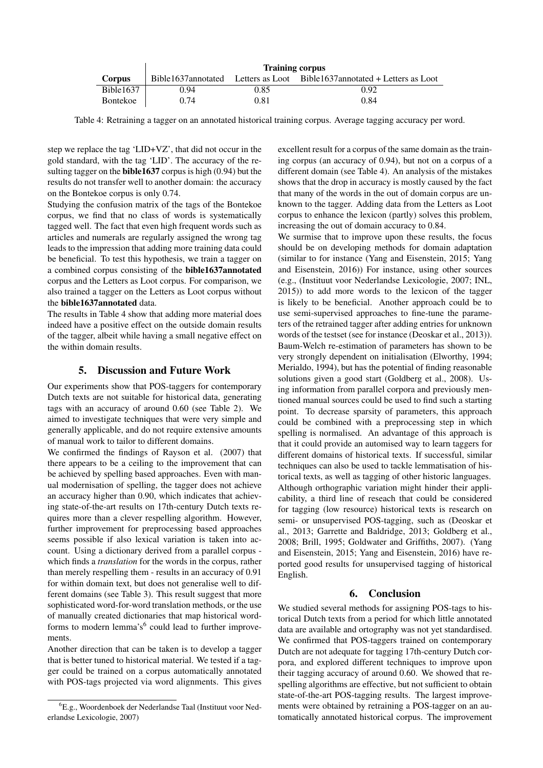|                 | <b>Training corpus</b> |      |                                                                         |  |
|-----------------|------------------------|------|-------------------------------------------------------------------------|--|
| Corpus          |                        |      | Bible1637annotated Letters as Loot Bible1637annotated + Letters as Loot |  |
| Bible1637       | 0.94                   | 0.85 | 0.92                                                                    |  |
| <b>Bontekoe</b> | 0.74                   | 0.81 | 0.84                                                                    |  |

<span id="page-4-0"></span>Table 4: Retraining a tagger on an annotated historical training corpus. Average tagging accuracy per word.

step we replace the tag 'LID+VZ', that did not occur in the gold standard, with the tag 'LID'. The accuracy of the resulting tagger on the **bible1637** corpus is high  $(0.94)$  but the results do not transfer well to another domain: the accuracy on the Bontekoe corpus is only 0.74.

Studying the confusion matrix of the tags of the Bontekoe corpus, we find that no class of words is systematically tagged well. The fact that even high frequent words such as articles and numerals are regularly assigned the wrong tag leads to the impression that adding more training data could be beneficial. To test this hypothesis, we train a tagger on a combined corpus consisting of the bible1637annotated corpus and the Letters as Loot corpus. For comparison, we also trained a tagger on the Letters as Loot corpus without the bible1637annotated data.

The results in Table [4](#page-4-0) show that adding more material does indeed have a positive effect on the outside domain results of the tagger, albeit while having a small negative effect on the within domain results.

### 5. Discussion and Future Work

Our experiments show that POS-taggers for contemporary Dutch texts are not suitable for historical data, generating tags with an accuracy of around 0.60 (see Table [2\)](#page-3-1). We aimed to investigate techniques that were very simple and generally applicable, and do not require extensive amounts of manual work to tailor to different domains.

We confirmed the findings of [Rayson et al. \(2007\)](#page-5-0) that there appears to be a ceiling to the improvement that can be achieved by spelling based approaches. Even with manual modernisation of spelling, the tagger does not achieve an accuracy higher than 0.90, which indicates that achieving state-of-the-art results on 17th-century Dutch texts requires more than a clever respelling algorithm. However, further improvement for preprocessing based approaches seems possible if also lexical variation is taken into account. Using a dictionary derived from a parallel corpus which finds a *translation* for the words in the corpus, rather than merely respelling them - results in an accuracy of 0.91 for within domain text, but does not generalise well to different domains (see Table [3\)](#page-3-4). This result suggest that more sophisticated word-for-word translation methods, or the use of manually created dictionaries that map historical word-forms to modern lemma's<sup>[6](#page-4-1)</sup> could lead to further improvements.

Another direction that can be taken is to develop a tagger that is better tuned to historical material. We tested if a tagger could be trained on a corpus automatically annotated with POS-tags projected via word alignments. This gives

excellent result for a corpus of the same domain as the training corpus (an accuracy of 0.94), but not on a corpus of a different domain (see Table [4\)](#page-4-0). An analysis of the mistakes shows that the drop in accuracy is mostly caused by the fact that many of the words in the out of domain corpus are unknown to the tagger. Adding data from the Letters as Loot corpus to enhance the lexicon (partly) solves this problem, increasing the out of domain accuracy to 0.84.

We surmise that to improve upon these results, the focus should be on developing methods for domain adaptation (similar to for instance [\(Yang and Eisenstein, 2015;](#page-5-17) [Yang](#page-6-1) [and Eisenstein, 2016\)](#page-6-1)) For instance, using other sources (e.g., (Instituut voor Nederlandse Lexicologie, 2007; INL, 2015)) to add more words to the lexicon of the tagger is likely to be beneficial. Another approach could be to use semi-supervised approaches to fine-tune the parameters of the retrained tagger after adding entries for unknown words of the testset (see for instance [\(Deoskar et al., 2013\)](#page-5-18)). Baum-Welch re-estimation of parameters has shown to be very strongly dependent on initialisation [\(Elworthy, 1994;](#page-5-19) [Merialdo, 1994\)](#page-5-20), but has the potential of finding reasonable solutions given a good start [\(Goldberg et al., 2008\)](#page-5-21). Using information from parallel corpora and previously mentioned manual sources could be used to find such a starting point. To decrease sparsity of parameters, this approach could be combined with a preprocessing step in which spelling is normalised. An advantage of this approach is that it could provide an automised way to learn taggers for different domains of historical texts. If successful, similar techniques can also be used to tackle lemmatisation of historical texts, as well as tagging of other historic languages. Although orthographic variation might hinder their applicability, a third line of reseach that could be considered for tagging (low resource) historical texts is research on semi- or unsupervised POS-tagging, such as [\(Deoskar et](#page-5-18) [al., 2013;](#page-5-18) [Garrette and Baldridge, 2013;](#page-5-22) [Goldberg et al.,](#page-5-21) [2008;](#page-5-21) [Brill, 1995;](#page-5-23) [Goldwater and Griffiths, 2007\)](#page-5-24). [\(Yang](#page-5-17) [and Eisenstein, 2015;](#page-5-17) [Yang and Eisenstein, 2016\)](#page-6-1) have reported good results for unsupervised tagging of historical English.

## 6. Conclusion

We studied several methods for assigning POS-tags to historical Dutch texts from a period for which little annotated data are available and ortography was not yet standardised. We confirmed that POS-taggers trained on contemporary Dutch are not adequate for tagging 17th-century Dutch corpora, and explored different techniques to improve upon their tagging accuracy of around 0.60. We showed that respelling algorithms are effective, but not sufficient to obtain state-of-the-art POS-tagging results. The largest improvements were obtained by retraining a POS-tagger on an automatically annotated historical corpus. The improvement

<span id="page-4-1"></span><sup>6</sup>E.g., Woordenboek der Nederlandse Taal (Instituut voor Nederlandse Lexicologie, 2007)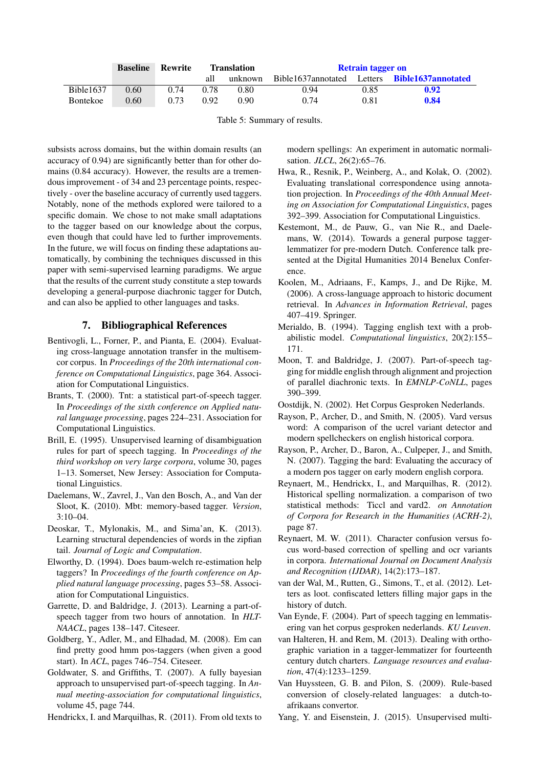|           | <b>Baseline</b> | Rewrite | <b>Translation</b> |         | <b>Retrain tagger on</b> |      |                                                      |
|-----------|-----------------|---------|--------------------|---------|--------------------------|------|------------------------------------------------------|
|           |                 |         | all                | unknown |                          |      | Bible1637annotated Letters <b>Bible1637annotated</b> |
| Bible1637 | 0.60            | 0.74    | 0.78               | 0.80    | 0.94                     | 0.85 | 0.92                                                 |
| Bontekoe  | 0.60            | 0.73    | 0.92               | 0.90    | 0.74                     | 0.81 | 0.84                                                 |

Table 5: Summary of results.

subsists across domains, but the within domain results (an accuracy of 0.94) are significantly better than for other domains (0.84 accuracy). However, the results are a tremendous improvement - of 34 and 23 percentage points, respectively - over the baseline accuracy of currently used taggers. Notably, none of the methods explored were tailored to a specific domain. We chose to not make small adaptations to the tagger based on our knowledge about the corpus, even though that could have led to further improvements. In the future, we will focus on finding these adaptations automatically, by combining the techniques discussed in this paper with semi-supervised learning paradigms. We argue that the results of the current study constitute a step towards developing a general-purpose diachronic tagger for Dutch, and can also be applied to other languages and tasks.

## 7. Bibliographical References

- <span id="page-5-1"></span>Bentivogli, L., Forner, P., and Pianta, E. (2004). Evaluating cross-language annotation transfer in the multisemcor corpus. In *Proceedings of the 20th international conference on Computational Linguistics*, page 364. Association for Computational Linguistics.
- <span id="page-5-10"></span>Brants, T. (2000). Tnt: a statistical part-of-speech tagger. In *Proceedings of the sixth conference on Applied natural language processing*, pages 224–231. Association for Computational Linguistics.
- <span id="page-5-23"></span>Brill, E. (1995). Unsupervised learning of disambiguation rules for part of speech tagging. In *Proceedings of the third workshop on very large corpora*, volume 30, pages 1–13. Somerset, New Jersey: Association for Computational Linguistics.
- <span id="page-5-9"></span>Daelemans, W., Zavrel, J., Van den Bosch, A., and Van der Sloot, K. (2010). Mbt: memory-based tagger. *Version*,  $3:10-04$ .
- <span id="page-5-18"></span>Deoskar, T., Mylonakis, M., and Sima'an, K. (2013). Learning structural dependencies of words in the zipfian tail. *Journal of Logic and Computation*.
- <span id="page-5-19"></span>Elworthy, D. (1994). Does baum-welch re-estimation help taggers? In *Proceedings of the fourth conference on Applied natural language processing*, pages 53–58. Association for Computational Linguistics.
- <span id="page-5-22"></span>Garrette, D. and Baldridge, J. (2013). Learning a part-ofspeech tagger from two hours of annotation. In *HLT-NAACL*, pages 138–147. Citeseer.
- <span id="page-5-21"></span>Goldberg, Y., Adler, M., and Elhadad, M. (2008). Em can find pretty good hmm pos-taggers (when given a good start). In *ACL*, pages 746–754. Citeseer.
- <span id="page-5-24"></span>Goldwater, S. and Griffiths, T. (2007). A fully bayesian approach to unsupervised part-of-speech tagging. In *Annual meeting-association for computational linguistics*, volume 45, page 744.

<span id="page-5-11"></span>Hendrickx, I. and Marquilhas, R. (2011). From old texts to

modern spellings: An experiment in automatic normalisation. *JLCL*, 26(2):65–76.

- <span id="page-5-16"></span>Hwa, R., Resnik, P., Weinberg, A., and Kolak, O. (2002). Evaluating translational correspondence using annotation projection. In *Proceedings of the 40th Annual Meeting on Association for Computational Linguistics*, pages 392–399. Association for Computational Linguistics.
- <span id="page-5-4"></span>Kestemont, M., de Pauw, G., van Nie R., and Daelemans, W. (2014). Towards a general purpose taggerlemmatizer for pre-modern Dutch. Conference talk presented at the Digital Humanities 2014 Benelux Conference.
- <span id="page-5-15"></span>Koolen, M., Adriaans, F., Kamps, J., and De Rijke, M. (2006). A cross-language approach to historic document retrieval. In *Advances in Information Retrieval*, pages 407–419. Springer.
- <span id="page-5-20"></span>Merialdo, B. (1994). Tagging english text with a probabilistic model. *Computational linguistics*, 20(2):155– 171.
- <span id="page-5-3"></span>Moon, T. and Baldridge, J. (2007). Part-of-speech tagging for middle english through alignment and projection of parallel diachronic texts. In *EMNLP-CoNLL*, pages 390–399.
- <span id="page-5-7"></span>Oostdijk, N. (2002). Het Corpus Gesproken Nederlands.
- <span id="page-5-14"></span>Rayson, P., Archer, D., and Smith, N. (2005). Vard versus word: A comparison of the ucrel variant detector and modern spellcheckers on english historical corpora.
- <span id="page-5-0"></span>Rayson, P., Archer, D., Baron, A., Culpeper, J., and Smith, N. (2007). Tagging the bard: Evaluating the accuracy of a modern pos tagger on early modern english corpora.
- <span id="page-5-13"></span>Reynaert, M., Hendrickx, I., and Marquilhas, R. (2012). Historical spelling normalization. a comparison of two statistical methods: Ticcl and vard2. *on Annotation of Corpora for Research in the Humanities (ACRH-2)*, page 87.
- <span id="page-5-12"></span>Reynaert, M. W. (2011). Character confusion versus focus word-based correction of spelling and ocr variants in corpora. *International Journal on Document Analysis and Recognition (IJDAR)*, 14(2):173–187.
- <span id="page-5-8"></span>van der Wal, M., Rutten, G., Simons, T., et al. (2012). Letters as loot. confiscated letters filling major gaps in the history of dutch.
- <span id="page-5-6"></span>Van Eynde, F. (2004). Part of speech tagging en lemmatisering van het corpus gesproken nederlands. *KU Leuven*.
- <span id="page-5-5"></span>van Halteren, H. and Rem, M. (2013). Dealing with orthographic variation in a tagger-lemmatizer for fourteenth century dutch charters. *Language resources and evaluation*, 47(4):1233–1259.
- <span id="page-5-2"></span>Van Huyssteen, G. B. and Pilon, S. (2009). Rule-based conversion of closely-related languages: a dutch-toafrikaans convertor.

<span id="page-5-17"></span>Yang, Y. and Eisenstein, J. (2015). Unsupervised multi-